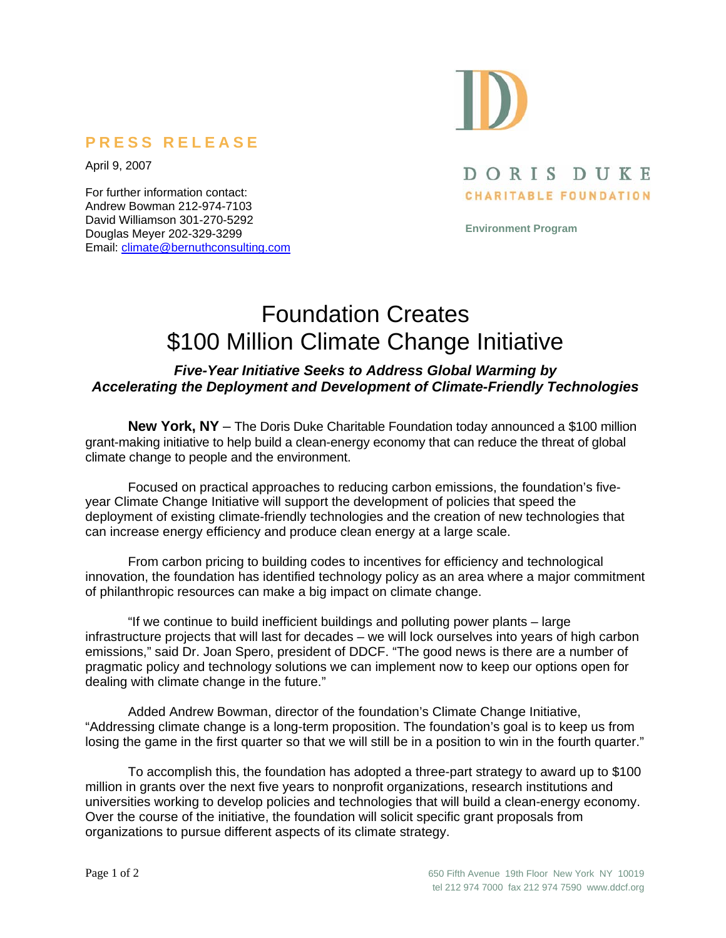## **PRESS RELEASE**

April 9, 2007

For further information contact: Andrew Bowman 212-974-7103 David Williamson 301-270-5292 Douglas Meyer 202-329-3299 Email: climate@bernuthconsulting.com

# DORIS DUKE CHARITABLE FOUNDATION

**Environment Program** 

# Foundation Creates \$100 Million Climate Change Initiative

### *Five-Year Initiative Seeks to Address Global Warming by Accelerating the Deployment and Development of Climate-Friendly Technologies*

**New York, NY** – The Doris Duke Charitable Foundation today announced a \$100 million grant-making initiative to help build a clean-energy economy that can reduce the threat of global climate change to people and the environment.

Focused on practical approaches to reducing carbon emissions, the foundation's fiveyear Climate Change Initiative will support the development of policies that speed the deployment of existing climate-friendly technologies and the creation of new technologies that can increase energy efficiency and produce clean energy at a large scale.

From carbon pricing to building codes to incentives for efficiency and technological innovation, the foundation has identified technology policy as an area where a major commitment of philanthropic resources can make a big impact on climate change.

"If we continue to build inefficient buildings and polluting power plants – large infrastructure projects that will last for decades – we will lock ourselves into years of high carbon emissions," said Dr. Joan Spero, president of DDCF. "The good news is there are a number of pragmatic policy and technology solutions we can implement now to keep our options open for dealing with climate change in the future."

Added Andrew Bowman, director of the foundation's Climate Change Initiative, "Addressing climate change is a long-term proposition. The foundation's goal is to keep us from losing the game in the first quarter so that we will still be in a position to win in the fourth quarter."

To accomplish this, the foundation has adopted a three-part strategy to award up to \$100 million in grants over the next five years to nonprofit organizations, research institutions and universities working to develop policies and technologies that will build a clean-energy economy. Over the course of the initiative, the foundation will solicit specific grant proposals from organizations to pursue different aspects of its climate strategy.